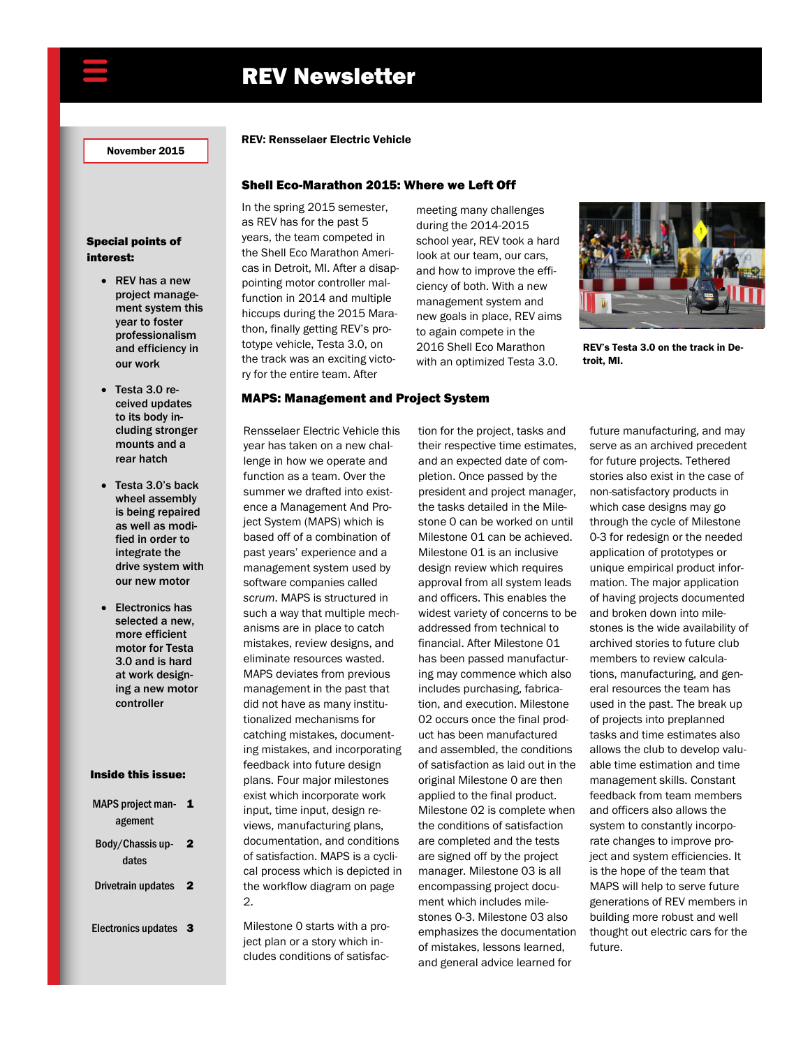# REV Newsletter

November 2015

# Special points of interest:

- REV has a new project management system this year to foster professionalism and efficiency in our work
- Testa 3.0 received updates to its body including stronger mounts and a rear hatch
- Testa 3.0's back wheel assembly is being repaired as well as modified in order to integrate the drive system with our new motor
- Electronics has selected a new, more efficient motor for Testa 3.0 and is hard at work designing a new motor controller

#### Inside this issue:

MAPS project man<br> **1** agement Body/Chassis up2 dates Drivetrain updates 2 Electronics updates 3

2.

Milestone 0 starts with a project plan or a story which includes conditions of satisfac-

# REV: Rensselaer Electric Vehicle

## Shell Eco-Marathon 2015: Where we Left Off

MAPS: Management and Project System

In the spring 2015 semester, as REV has for the past 5 years, the team competed in the Shell Eco Marathon Americas in Detroit, MI. After a disappointing motor controller malfunction in 2014 and multiple hiccups during the 2015 Marathon, finally getting REV's prototype vehicle, Testa 3.0, on the track was an exciting victory for the entire team. After

Rensselaer Electric Vehicle this year has taken on a new challenge in how we operate and function as a team. Over the summer we drafted into existence a Management And Project System (MAPS) which is based off of a combination of past years' experience and a management system used by software companies called *scrum*. MAPS is structured in such a way that multiple mechanisms are in place to catch mistakes, review designs, and eliminate resources wasted. MAPS deviates from previous management in the past that did not have as many institutionalized mechanisms for catching mistakes, documenting mistakes, and incorporating feedback into future design plans. Four major milestones exist which incorporate work input, time input, design reviews, manufacturing plans, documentation, and conditions of satisfaction. MAPS is a cyclical process which is depicted in the workflow diagram on page

meeting many challenges during the 2014-2015 school year, REV took a hard look at our team, our cars, and how to improve the efficiency of both. With a new management system and new goals in place, REV aims to again compete in the 2016 Shell Eco Marathon with an optimized Testa 3.0.



REV's Testa 3.0 on the track in Detroit, MI.

# tion for the project, tasks and their respective time estimates, and an expected date of completion. Once passed by the president and project manager, the tasks detailed in the Milestone 0 can be worked on until Milestone 01 can be achieved. Milestone 01 is an inclusive design review which requires approval from all system leads and officers. This enables the widest variety of concerns to be addressed from technical to financial. After Milestone 01 has been passed manufacturing may commence which also includes purchasing, fabrication, and execution. Milestone 02 occurs once the final product has been manufactured and assembled, the conditions of satisfaction as laid out in the original Milestone 0 are then applied to the final product. Milestone 02 is complete when the conditions of satisfaction are completed and the tests are signed off by the project manager. Milestone 03 is all encompassing project document which includes milestones 0-3. Milestone 03 also emphasizes the documentation of mistakes, lessons learned, and general advice learned for

future manufacturing, and may serve as an archived precedent for future projects. Tethered stories also exist in the case of non-satisfactory products in which case designs may go through the cycle of Milestone 0-3 for redesign or the needed application of prototypes or unique empirical product information. The major application of having projects documented and broken down into milestones is the wide availability of archived stories to future club members to review calculations, manufacturing, and general resources the team has used in the past. The break up of projects into preplanned tasks and time estimates also allows the club to develop valuable time estimation and time management skills. Constant feedback from team members and officers also allows the system to constantly incorporate changes to improve project and system efficiencies. It is the hope of the team that MAPS will help to serve future generations of REV members in building more robust and well thought out electric cars for the future.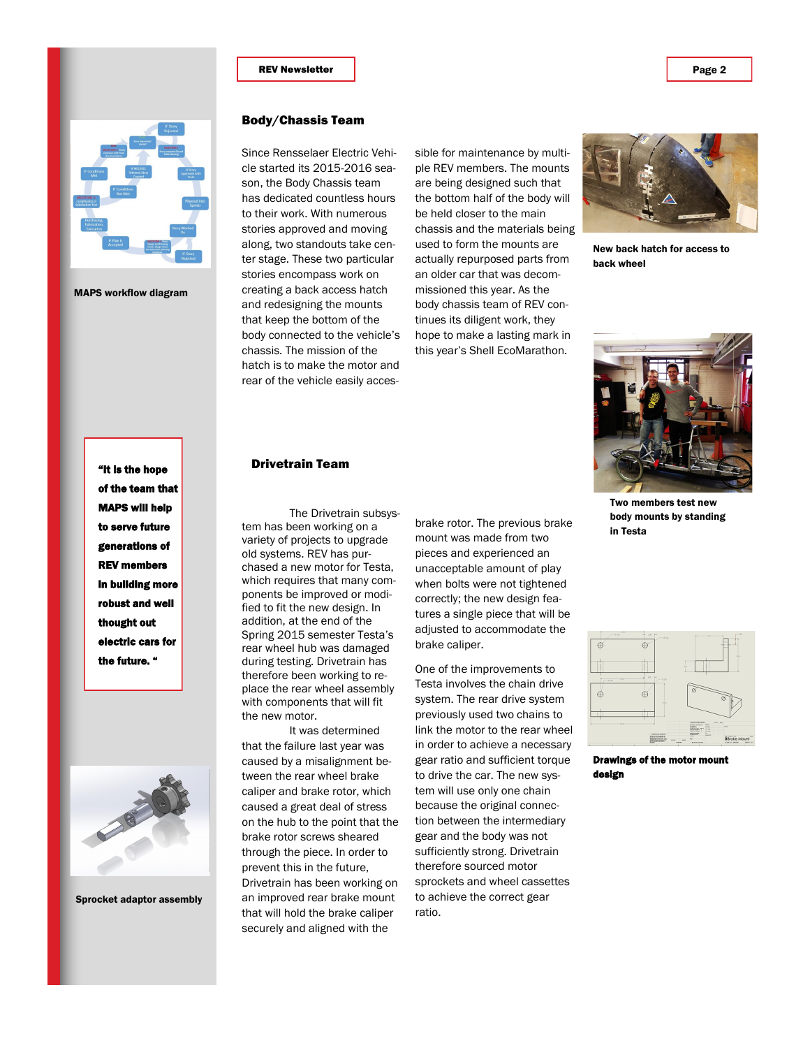#### **REV Newsletter Page 2**



MAPS workflow diagram

# Body/Chassis Team

Since Rensselaer Electric Vehicle started its 2015-2016 season, the Body Chassis team has dedicated countless hours to their work. With numerous stories approved and moving along, two standouts take center stage. These two particular stories encompass work on creating a back access hatch and redesigning the mounts that keep the bottom of the body connected to the vehicle's chassis. The mission of the hatch is to make the motor and rear of the vehicle easily acces-

sible for maintenance by multiple REV members. The mounts are being designed such that the bottom half of the body will be held closer to the main chassis and the materials being used to form the mounts are actually repurposed parts from an older car that was decommissioned this year. As the body chassis team of REV continues its diligent work, they hope to make a lasting mark in this year's Shell EcoMarathon.



New back hatch for access to back wheel

"It is the hope of the team that MAPS will help to serve future generations of REV members in building more robust and well thought out electric cars for the future. "



Sprocket adaptor assembly

#### Drivetrain Team

The Drivetrain subsystem has been working on a variety of projects to upgrade old systems. REV has purchased a new motor for Testa, which requires that many components be improved or modified to fit the new design. In addition, at the end of the Spring 2015 semester Testa's rear wheel hub was damaged during testing. Drivetrain has therefore been working to replace the rear wheel assembly with components that will fit the new motor.

It was determined that the failure last year was caused by a misalignment between the rear wheel brake caliper and brake rotor, which caused a great deal of stress on the hub to the point that the brake rotor screws sheared through the piece. In order to prevent this in the future, Drivetrain has been working on an improved rear brake mount that will hold the brake caliper securely and aligned with the

brake rotor. The previous brake mount was made from two pieces and experienced an unacceptable amount of play when bolts were not tightened correctly; the new design features a single piece that will be adjusted to accommodate the brake caliper.

One of the improvements to Testa involves the chain drive system. The rear drive system previously used two chains to link the motor to the rear wheel in order to achieve a necessary gear ratio and sufficient torque to drive the car. The new system will use only one chain because the original connection between the intermediary gear and the body was not sufficiently strong. Drivetrain therefore sourced motor sprockets and wheel cassettes to achieve the correct gear ratio.



Two members test new body mounts by standing in Testa



Drawings of the motor mo design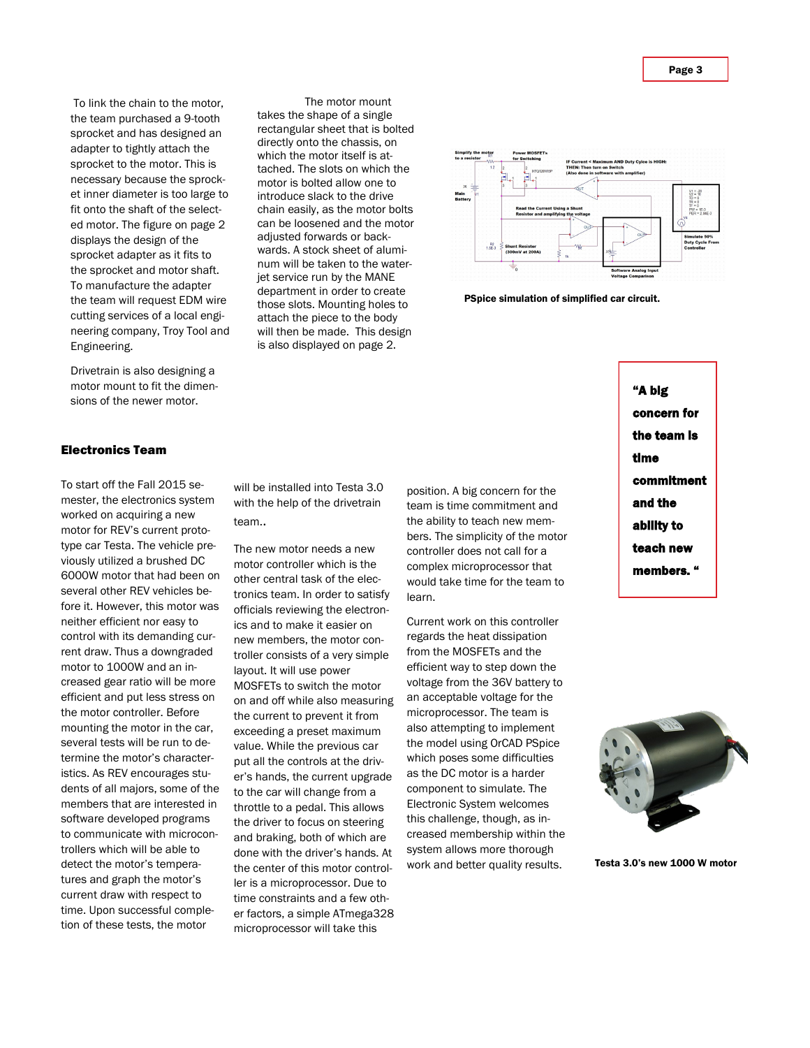Page 3

To link the chain to the motor, the team purchased a 9-tooth sprocket and has designed an adapter to tightly attach the sprocket to the motor. This is necessary because the sprocket inner diameter is too large to fit onto the shaft of the selected motor. The figure on page 2 displays the design of the sprocket adapter as it fits to the sprocket and motor shaft. To manufacture the adapter the team will request EDM wire cutting services of a local engineering company, Troy Tool and Engineering.

Drivetrain is also designing a motor mount to fit the dimensions of the newer motor.

### Electronics Team

To start off the Fall 2015 semester, the electronics system worked on acquiring a new motor for REV's current prototype car Testa. The vehicle previously utilized a brushed DC 6000W motor that had been on several other REV vehicles before it. However, this motor was neither efficient nor easy to control with its demanding current draw. Thus a downgraded motor to 1000W and an increased gear ratio will be more efficient and put less stress on the motor controller. Before mounting the motor in the car, several tests will be run to determine the motor's characteristics. As REV encourages students of all majors, some of the members that are interested in software developed programs to communicate with microcontrollers which will be able to detect the motor's temperatures and graph the motor's current draw with respect to time. Upon successful completion of these tests, the motor

will be installed into Testa 3.0 with the help of the drivetrain team..

The motor mount

takes the shape of a single rectangular sheet that is bolted directly onto the chassis, on which the motor itself is attached. The slots on which the motor is bolted allow one to introduce slack to the drive chain easily, as the motor bolts can be loosened and the motor adjusted forwards or backwards. A stock sheet of aluminum will be taken to the waterjet service run by the MANE department in order to create those slots. Mounting holes to attach the piece to the body will then be made. This design is also displayed on page 2.

The new motor needs a new motor controller which is the other central task of the electronics team. In order to satisfy officials reviewing the electronics and to make it easier on new members, the motor controller consists of a very simple layout. It will use power MOSFETs to switch the motor on and off while also measuring the current to prevent it from exceeding a preset maximum value. While the previous car put all the controls at the driver's hands, the current upgrade to the car will change from a throttle to a pedal. This allows the driver to focus on steering and braking, both of which are done with the driver's hands. At the center of this motor controller is a microprocessor. Due to time constraints and a few other factors, a simple ATmega328 microprocessor will take this

position. A big concern for the team is time commitment and the ability to teach new members. The simplicity of the motor controller does not call for a complex microprocessor that would take time for the team to learn.

Current work on this controller regards the heat dissipation from the MOSFETs and the efficient way to step down the voltage from the 36V battery to an acceptable voltage for the microprocessor. The team is also attempting to implement the model using OrCAD PSpice which poses some difficulties as the DC motor is a harder component to simulate. The Electronic System welcomes this challenge, though, as increased membership within the system allows more thorough work and better quality results.

"A big concern for the team is time commitment and the ability to teach new members. "



Testa 3.0's new 1000 W motor



PSpice simulation of simplified car circuit.